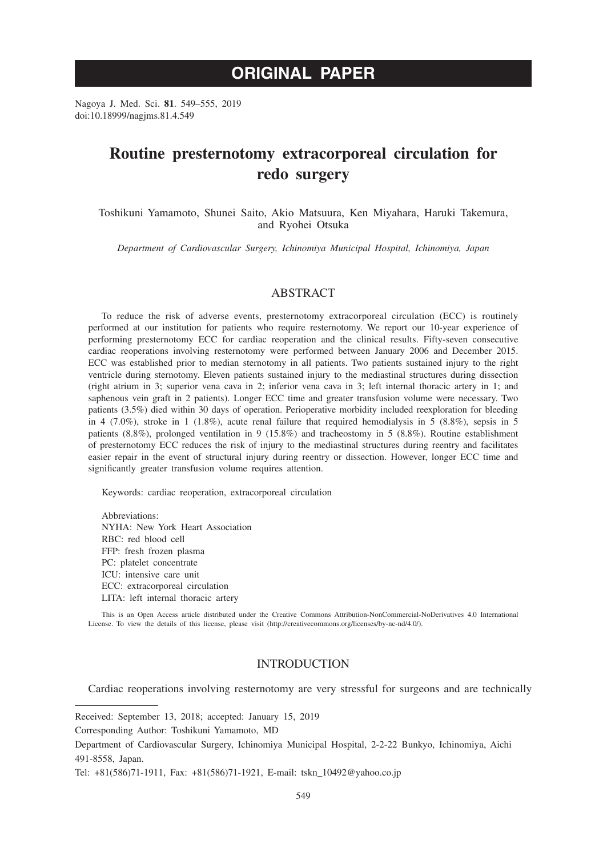# **ORIGINAL PAPER**

Nagoya J. Med. Sci. **81**. 549–555, 2019 doi:10.18999/nagjms.81.4.549

# **Routine presternotomy extracorporeal circulation for redo surgery**

Toshikuni Yamamoto, Shunei Saito, Akio Matsuura, Ken Miyahara, Haruki Takemura, and Ryohei Otsuka

*Department of Cardiovascular Surgery, Ichinomiya Municipal Hospital, Ichinomiya, Japan*

# ABSTRACT

To reduce the risk of adverse events, presternotomy extracorporeal circulation (ECC) is routinely performed at our institution for patients who require resternotomy. We report our 10-year experience of performing presternotomy ECC for cardiac reoperation and the clinical results. Fifty-seven consecutive cardiac reoperations involving resternotomy were performed between January 2006 and December 2015. ECC was established prior to median sternotomy in all patients. Two patients sustained injury to the right ventricle during sternotomy. Eleven patients sustained injury to the mediastinal structures during dissection (right atrium in 3; superior vena cava in 2; inferior vena cava in 3; left internal thoracic artery in 1; and saphenous vein graft in 2 patients). Longer ECC time and greater transfusion volume were necessary. Two patients (3.5%) died within 30 days of operation. Perioperative morbidity included reexploration for bleeding in 4 (7.0%), stroke in 1 (1.8%), acute renal failure that required hemodialysis in 5 (8.8%), sepsis in 5 patients (8.8%), prolonged ventilation in 9 (15.8%) and tracheostomy in 5 (8.8%). Routine establishment of presternotomy ECC reduces the risk of injury to the mediastinal structures during reentry and facilitates easier repair in the event of structural injury during reentry or dissection. However, longer ECC time and significantly greater transfusion volume requires attention.

Keywords: cardiac reoperation, extracorporeal circulation

Abbreviations: NYHA: New York Heart Association RBC: red blood cell FFP: fresh frozen plasma PC: platelet concentrate ICU: intensive care unit ECC: extracorporeal circulation LITA: left internal thoracic artery

This is an Open Access article distributed under the Creative Commons Attribution-NonCommercial-NoDerivatives 4.0 International License. To view the details of this license, please visit (http://creativecommons.org/licenses/by-nc-nd/4.0/).

## INTRODUCTION

Cardiac reoperations involving resternotomy are very stressful for surgeons and are technically

Received: September 13, 2018; accepted: January 15, 2019

Corresponding Author: Toshikuni Yamamoto, MD

Department of Cardiovascular Surgery, Ichinomiya Municipal Hospital, 2-2-22 Bunkyo, Ichinomiya, Aichi 491-8558, Japan.

Tel: +81(586)71-1911, Fax: +81(586)71-1921, E-mail: tskn\_10492@yahoo.co.jp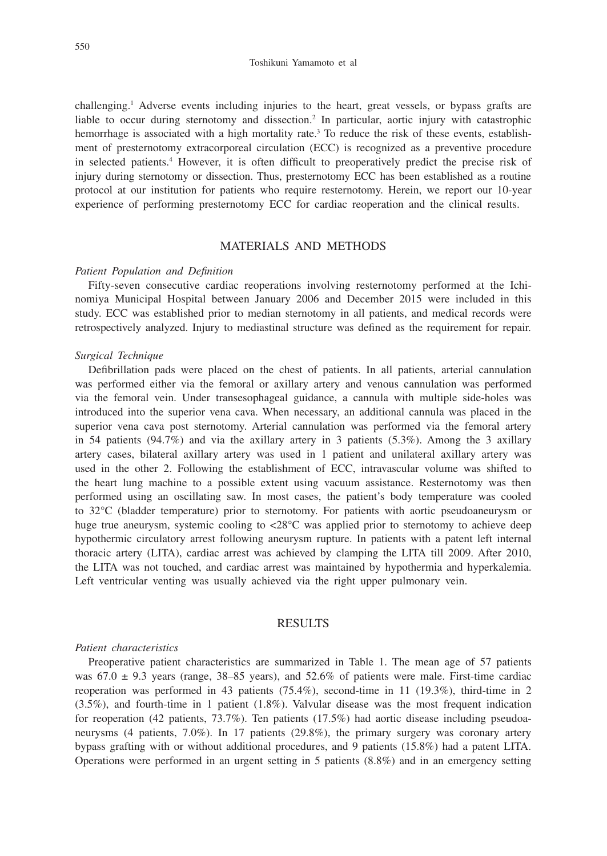#### Toshikuni Yamamoto et al

challenging.1 Adverse events including injuries to the heart, great vessels, or bypass grafts are liable to occur during sternotomy and dissection.<sup>2</sup> In particular, aortic injury with catastrophic hemorrhage is associated with a high mortality rate.<sup>3</sup> To reduce the risk of these events, establishment of presternotomy extracorporeal circulation (ECC) is recognized as a preventive procedure in selected patients.4 However, it is often difficult to preoperatively predict the precise risk of injury during sternotomy or dissection. Thus, presternotomy ECC has been established as a routine protocol at our institution for patients who require resternotomy. Herein, we report our 10-year experience of performing presternotomy ECC for cardiac reoperation and the clinical results.

# MATERIALS AND METHODS

### *Patient Population and Definition*

Fifty-seven consecutive cardiac reoperations involving resternotomy performed at the Ichinomiya Municipal Hospital between January 2006 and December 2015 were included in this study. ECC was established prior to median sternotomy in all patients, and medical records were retrospectively analyzed. Injury to mediastinal structure was defined as the requirement for repair.

#### *Surgical Technique*

Defibrillation pads were placed on the chest of patients. In all patients, arterial cannulation was performed either via the femoral or axillary artery and venous cannulation was performed via the femoral vein. Under transesophageal guidance, a cannula with multiple side-holes was introduced into the superior vena cava. When necessary, an additional cannula was placed in the superior vena cava post sternotomy. Arterial cannulation was performed via the femoral artery in 54 patients (94.7%) and via the axillary artery in 3 patients (5.3%). Among the 3 axillary artery cases, bilateral axillary artery was used in 1 patient and unilateral axillary artery was used in the other 2. Following the establishment of ECC, intravascular volume was shifted to the heart lung machine to a possible extent using vacuum assistance. Resternotomy was then performed using an oscillating saw. In most cases, the patient's body temperature was cooled to 32°C (bladder temperature) prior to sternotomy. For patients with aortic pseudoaneurysm or huge true aneurysm, systemic cooling to <28°C was applied prior to sternotomy to achieve deep hypothermic circulatory arrest following aneurysm rupture. In patients with a patent left internal thoracic artery (LITA), cardiac arrest was achieved by clamping the LITA till 2009. After 2010, the LITA was not touched, and cardiac arrest was maintained by hypothermia and hyperkalemia. Left ventricular venting was usually achieved via the right upper pulmonary vein.

# **RESULTS**

### *Patient characteristics*

Preoperative patient characteristics are summarized in Table 1. The mean age of 57 patients was  $67.0 \pm 9.3$  years (range, 38–85 years), and  $52.6\%$  of patients were male. First-time cardiac reoperation was performed in 43 patients (75.4%), second-time in 11 (19.3%), third-time in 2 (3.5%), and fourth-time in 1 patient (1.8%). Valvular disease was the most frequent indication for reoperation (42 patients, 73.7%). Ten patients (17.5%) had aortic disease including pseudoaneurysms (4 patients, 7.0%). In 17 patients (29.8%), the primary surgery was coronary artery bypass grafting with or without additional procedures, and 9 patients (15.8%) had a patent LITA. Operations were performed in an urgent setting in 5 patients (8.8%) and in an emergency setting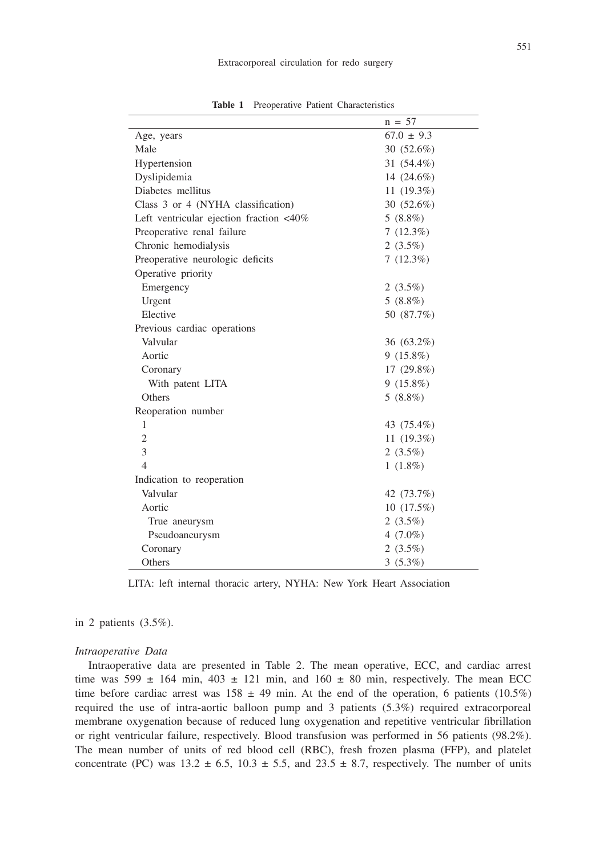|                                                   | $n = 57$       |
|---------------------------------------------------|----------------|
| Age, years                                        | $67.0 \pm 9.3$ |
| Male                                              | 30 (52.6%)     |
| Hypertension                                      | 31 (54.4%)     |
| Dyslipidemia                                      | 14 $(24.6\%)$  |
| Diabetes mellitus                                 | 11 (19.3%)     |
| Class 3 or 4 (NYHA classification)                | 30 (52.6%)     |
| Left ventricular ejection fraction $\langle 40\%$ | $5(8.8\%)$     |
| Preoperative renal failure                        | $7(12.3\%)$    |
| Chronic hemodialysis                              | 2 $(3.5\%)$    |
| Preoperative neurologic deficits                  | 7(12.3%)       |
| Operative priority                                |                |
| Emergency                                         | 2 $(3.5\%)$    |
| Urgent                                            | $5(8.8\%)$     |
| Elective                                          | 50 (87.7%)     |
| Previous cardiac operations                       |                |
| Valvular                                          | 36 (63.2%)     |
| Aortic                                            | $9(15.8\%)$    |
| Coronary                                          | $17(29.8\%)$   |
| With patent LITA                                  | $9(15.8\%)$    |
| Others                                            | $5(8.8\%)$     |
| Reoperation number                                |                |
| 1                                                 | 43 (75.4%)     |
| $\overline{c}$                                    | 11 $(19.3\%)$  |
| 3                                                 | 2 $(3.5\%)$    |
| $\overline{4}$                                    | $1(1.8\%)$     |
| Indication to reoperation                         |                |
| Valvular                                          | 42 (73.7%)     |
| Aortic                                            | 10(17.5%)      |
| True aneurysm                                     | 2 $(3.5\%)$    |
| Pseudoaneurysm                                    | 4 $(7.0\%)$    |
| Coronary                                          | 2 $(3.5\%)$    |
| Others                                            | $3(5.3\%)$     |

**Table 1** Preoperative Patient Characteristics

LITA: left internal thoracic artery, NYHA: New York Heart Association

## in 2 patients (3.5%).

#### *Intraoperative Data*

Intraoperative data are presented in Table 2. The mean operative, ECC, and cardiac arrest time was  $599 \pm 164$  min,  $403 \pm 121$  min, and  $160 \pm 80$  min, respectively. The mean ECC time before cardiac arrest was  $158 \pm 49$  min. At the end of the operation, 6 patients (10.5%) required the use of intra-aortic balloon pump and 3 patients (5.3%) required extracorporeal membrane oxygenation because of reduced lung oxygenation and repetitive ventricular fibrillation or right ventricular failure, respectively. Blood transfusion was performed in 56 patients (98.2%). The mean number of units of red blood cell (RBC), fresh frozen plasma (FFP), and platelet concentrate (PC) was  $13.2 \pm 6.5$ ,  $10.3 \pm 5.5$ , and  $23.5 \pm 8.7$ , respectively. The number of units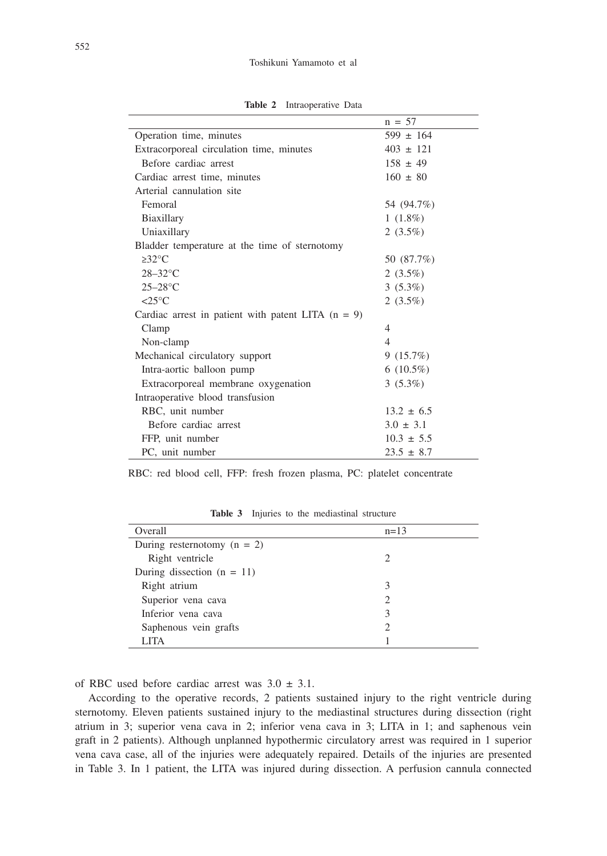|                                                      | $n = 57$       |
|------------------------------------------------------|----------------|
| Operation time, minutes                              | $599 \pm 164$  |
| Extracorporeal circulation time, minutes             | $403 \pm 121$  |
| Before cardiac arrest                                | $158 \pm 49$   |
| Cardiac arrest time, minutes                         | $160 \pm 80$   |
| Arterial cannulation site                            |                |
| Femoral                                              | 54 (94.7%)     |
| Biaxillary                                           | $1(1.8\%)$     |
| Uniaxillary                                          | 2 $(3.5\%)$    |
| Bladder temperature at the time of sternotomy        |                |
| $\geq 32^{\circ}$ C                                  | 50 (87.7%)     |
| $28-32$ °C                                           | 2 $(3.5\%)$    |
| $25-28$ °C                                           | $3(5.3\%)$     |
| $\leq$ 25°C                                          | 2 $(3.5\%)$    |
| Cardiac arrest in patient with patent LITA $(n = 9)$ |                |
| Clamp                                                | 4              |
| Non-clamp                                            | $\overline{4}$ |
| Mechanical circulatory support                       | 9(15.7%)       |
| Intra-aortic balloon pump                            | $6(10.5\%)$    |
| Extracorporeal membrane oxygenation                  | $3(5.3\%)$     |
| Intraoperative blood transfusion                     |                |
| RBC, unit number                                     | $13.2 \pm 6.5$ |
| Before cardiac arrest                                | $3.0 \pm 3.1$  |
| FFP, unit number                                     | $10.3 \pm 5.5$ |
| PC, unit number                                      | $23.5 \pm 8.7$ |
|                                                      |                |

**Table 2** Intraoperative Data

RBC: red blood cell, FFP: fresh frozen plasma, PC: platelet concentrate

| Overall                       | $n=13$ |
|-------------------------------|--------|
| During resternotomy $(n = 2)$ |        |
| Right ventricle               |        |
| During dissection $(n = 11)$  |        |
| Right atrium                  |        |
| Superior vena cava            |        |
| Inferior vena cava            |        |
| Saphenous vein grafts         |        |
| <b>LITA</b>                   |        |

**Table 3** Injuries to the mediastinal structure

of RBC used before cardiac arrest was  $3.0 \pm 3.1$ .

According to the operative records, 2 patients sustained injury to the right ventricle during sternotomy. Eleven patients sustained injury to the mediastinal structures during dissection (right atrium in 3; superior vena cava in 2; inferior vena cava in 3; LITA in 1; and saphenous vein graft in 2 patients). Although unplanned hypothermic circulatory arrest was required in 1 superior vena cava case, all of the injuries were adequately repaired. Details of the injuries are presented in Table 3. In 1 patient, the LITA was injured during dissection. A perfusion cannula connected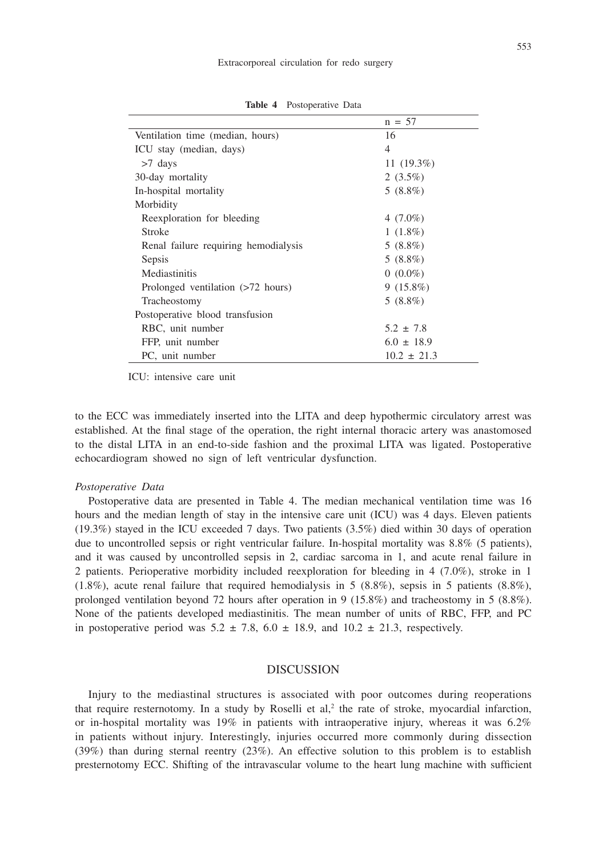| $n = 57$        |
|-----------------|
| 16              |
| 4               |
| 11 $(19.3\%)$   |
| 2 $(3.5\%)$     |
| $5(8.8\%)$      |
|                 |
| 4 $(7.0\%)$     |
| $1(1.8\%)$      |
| $5(8.8\%)$      |
| $5(8.8\%)$      |
| $0(0.0\%)$      |
| $9(15.8\%)$     |
| $5(8.8\%)$      |
|                 |
| $5.2 \pm 7.8$   |
| $6.0 \pm 18.9$  |
| $10.2 \pm 21.3$ |
|                 |

**Table 4** Postoperative Data

ICU: intensive care unit

to the ECC was immediately inserted into the LITA and deep hypothermic circulatory arrest was established. At the final stage of the operation, the right internal thoracic artery was anastomosed to the distal LITA in an end-to-side fashion and the proximal LITA was ligated. Postoperative echocardiogram showed no sign of left ventricular dysfunction.

#### *Postoperative Data*

Postoperative data are presented in Table 4. The median mechanical ventilation time was 16 hours and the median length of stay in the intensive care unit (ICU) was 4 days. Eleven patients (19.3%) stayed in the ICU exceeded 7 days. Two patients (3.5%) died within 30 days of operation due to uncontrolled sepsis or right ventricular failure. In-hospital mortality was 8.8% (5 patients), and it was caused by uncontrolled sepsis in 2, cardiac sarcoma in 1, and acute renal failure in 2 patients. Perioperative morbidity included reexploration for bleeding in 4 (7.0%), stroke in 1  $(1.8\%)$ , acute renal failure that required hemodialysis in 5 (8.8%), sepsis in 5 patients (8.8%), prolonged ventilation beyond 72 hours after operation in 9 (15.8%) and tracheostomy in 5 (8.8%). None of the patients developed mediastinitis. The mean number of units of RBC, FFP, and PC in postoperative period was  $5.2 \pm 7.8$ ,  $6.0 \pm 18.9$ , and  $10.2 \pm 21.3$ , respectively.

## DISCUSSION

Injury to the mediastinal structures is associated with poor outcomes during reoperations that require resternotomy. In a study by Roselli et  $al$ ,<sup>2</sup> the rate of stroke, myocardial infarction, or in-hospital mortality was  $19\%$  in patients with intraoperative injury, whereas it was  $6.2\%$ in patients without injury. Interestingly, injuries occurred more commonly during dissection (39%) than during sternal reentry (23%). An effective solution to this problem is to establish presternotomy ECC. Shifting of the intravascular volume to the heart lung machine with sufficient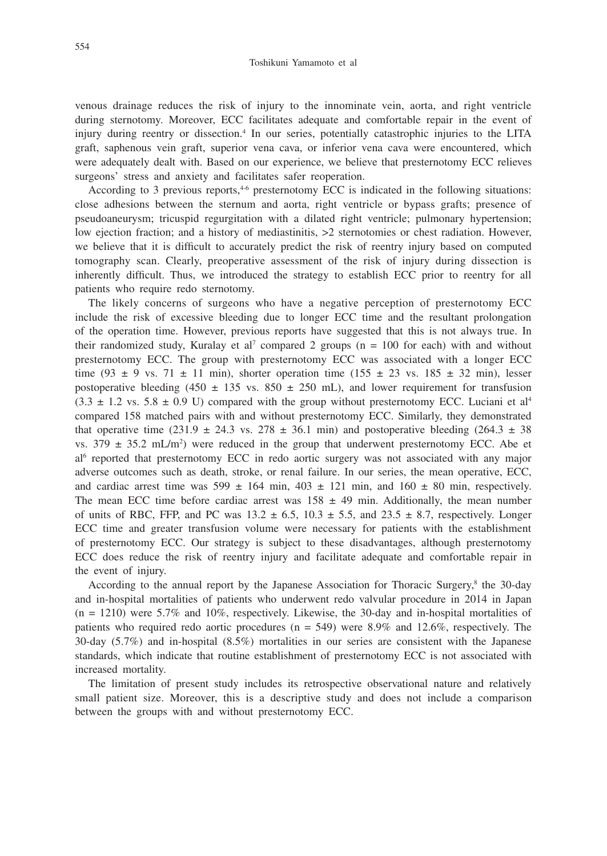venous drainage reduces the risk of injury to the innominate vein, aorta, and right ventricle during sternotomy. Moreover, ECC facilitates adequate and comfortable repair in the event of injury during reentry or dissection.4 In our series, potentially catastrophic injuries to the LITA graft, saphenous vein graft, superior vena cava, or inferior vena cava were encountered, which were adequately dealt with. Based on our experience, we believe that presternotomy ECC relieves surgeons' stress and anxiety and facilitates safer reoperation.

According to 3 previous reports, $46$  presternotomy ECC is indicated in the following situations: close adhesions between the sternum and aorta, right ventricle or bypass grafts; presence of pseudoaneurysm; tricuspid regurgitation with a dilated right ventricle; pulmonary hypertension; low ejection fraction; and a history of mediastinitis,  $>2$  sternotomies or chest radiation. However, we believe that it is difficult to accurately predict the risk of reentry injury based on computed tomography scan. Clearly, preoperative assessment of the risk of injury during dissection is inherently difficult. Thus, we introduced the strategy to establish ECC prior to reentry for all patients who require redo sternotomy.

The likely concerns of surgeons who have a negative perception of presternotomy ECC include the risk of excessive bleeding due to longer ECC time and the resultant prolongation of the operation time. However, previous reports have suggested that this is not always true. In their randomized study, Kuralay et al<sup>7</sup> compared 2 groups ( $n = 100$  for each) with and without presternotomy ECC. The group with presternotomy ECC was associated with a longer ECC time (93  $\pm$  9 vs. 71  $\pm$  11 min), shorter operation time (155  $\pm$  23 vs. 185  $\pm$  32 min), lesser postoperative bleeding (450  $\pm$  135 vs. 850  $\pm$  250 mL), and lower requirement for transfusion  $(3.3 \pm 1.2 \text{ vs. } 5.8 \pm 0.9 \text{ U})$  compared with the group without presternotomy ECC. Luciani et al<sup>4</sup> compared 158 matched pairs with and without presternotomy ECC. Similarly, they demonstrated that operative time (231.9  $\pm$  24.3 vs. 278  $\pm$  36.1 min) and postoperative bleeding (264.3  $\pm$  38 vs.  $379 \pm 35.2 \text{ mL/m}^2$  were reduced in the group that underwent presternotomy ECC. Abe et al<sup>6</sup> reported that presternotomy ECC in redo aortic surgery was not associated with any major adverse outcomes such as death, stroke, or renal failure. In our series, the mean operative, ECC, and cardiac arrest time was  $599 \pm 164$  min,  $403 \pm 121$  min, and  $160 \pm 80$  min, respectively. The mean ECC time before cardiac arrest was  $158 \pm 49$  min. Additionally, the mean number of units of RBC, FFP, and PC was  $13.2 \pm 6.5$ ,  $10.3 \pm 5.5$ , and  $23.5 \pm 8.7$ , respectively. Longer ECC time and greater transfusion volume were necessary for patients with the establishment of presternotomy ECC. Our strategy is subject to these disadvantages, although presternotomy ECC does reduce the risk of reentry injury and facilitate adequate and comfortable repair in the event of injury.

According to the annual report by the Japanese Association for Thoracic Surgery,8 the 30-day and in-hospital mortalities of patients who underwent redo valvular procedure in 2014 in Japan  $(n = 1210)$  were 5.7% and 10%, respectively. Likewise, the 30-day and in-hospital mortalities of patients who required redo aortic procedures ( $n = 549$ ) were 8.9% and 12.6%, respectively. The 30-day (5.7%) and in-hospital (8.5%) mortalities in our series are consistent with the Japanese standards, which indicate that routine establishment of presternotomy ECC is not associated with increased mortality.

The limitation of present study includes its retrospective observational nature and relatively small patient size. Moreover, this is a descriptive study and does not include a comparison between the groups with and without presternotomy ECC.